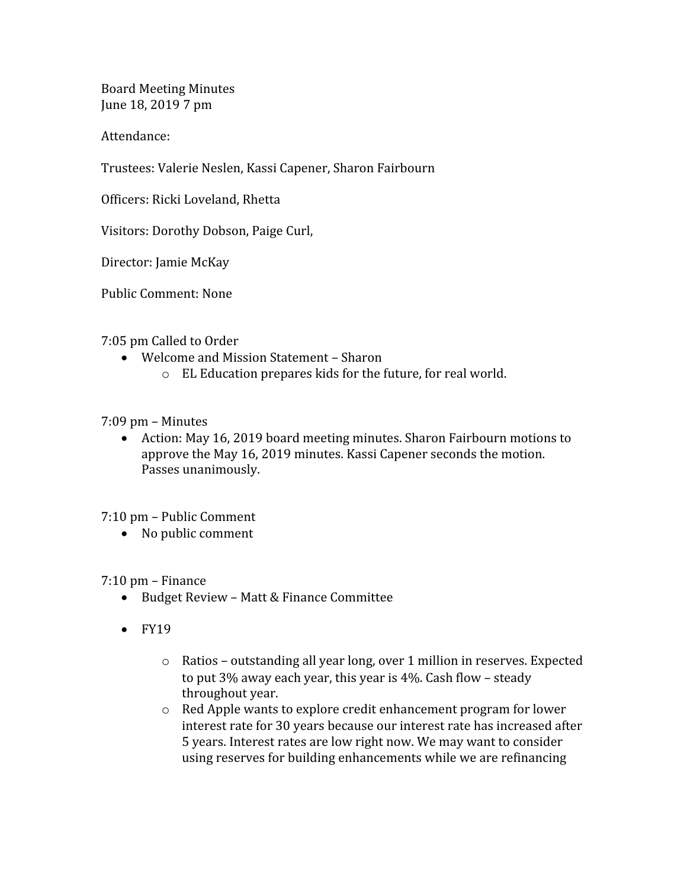Board Meeting Minutes June 18, 2019 7 pm

Attendance:

Trustees: Valerie Neslen, Kassi Capener, Sharon Fairbourn

Officers: Ricki Loveland, Rhetta

Visitors: Dorothy Dobson, Paige Curl,

Director: Jamie McKay

Public Comment: None

7:05 pm Called to Order

- Welcome and Mission Statement Sharon
	- o EL Education prepares kids for the future, for real world.

7:09 pm – Minutes

 Action: May 16, 2019 board meeting minutes. Sharon Fairbourn motions to approve the May 16, 2019 minutes. Kassi Capener seconds the motion. Passes unanimously.

7:10 pm – Public Comment

• No public comment

7:10 pm – Finance

- Budget Review Matt & Finance Committee
- $\bullet$  FY19
	- o Ratios outstanding all year long, over 1 million in reserves. Expected to put 3% away each year, this year is 4%. Cash flow – steady throughout year.
	- o Red Apple wants to explore credit enhancement program for lower interest rate for 30 years because our interest rate has increased after 5 years. Interest rates are low right now. We may want to consider using reserves for building enhancements while we are refinancing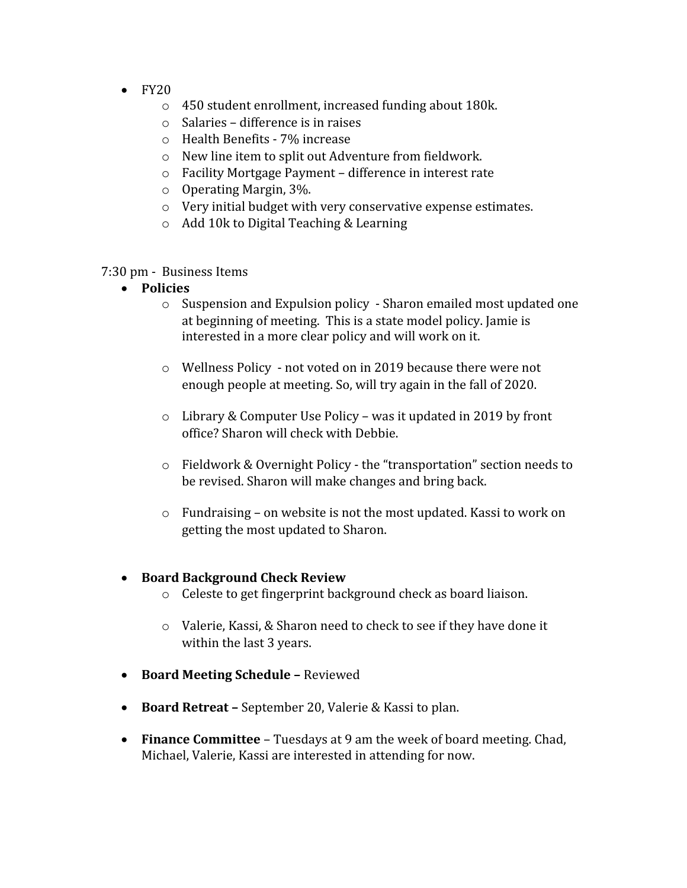- $\bullet$  FY20
	- o 450 student enrollment, increased funding about 180k.
	- o Salaries difference is in raises
	- o Health Benefits 7% increase
	- o New line item to split out Adventure from fieldwork.
	- o Facility Mortgage Payment difference in interest rate
	- o Operating Margin, 3%.
	- o Very initial budget with very conservative expense estimates.
	- o Add 10k to Digital Teaching & Learning

7:30 pm - Business Items

- **Policies**
	- o Suspension and Expulsion policy Sharon emailed most updated one at beginning of meeting. This is a state model policy. Jamie is interested in a more clear policy and will work on it.
	- o Wellness Policy not voted on in 2019 because there were not enough people at meeting. So, will try again in the fall of 2020.
	- o Library & Computer Use Policy was it updated in 2019 by front office? Sharon will check with Debbie.
	- o Fieldwork & Overnight Policy the "transportation" section needs to be revised. Sharon will make changes and bring back.
	- o Fundraising on website is not the most updated. Kassi to work on getting the most updated to Sharon.

## **Board Background Check Review**

- o Celeste to get fingerprint background check as board liaison.
- o Valerie, Kassi, & Sharon need to check to see if they have done it within the last 3 years.
- **Board Meeting Schedule** Reviewed
- **Board Retreat** September 20, Valerie & Kassi to plan.
- **Finance Committee** Tuesdays at 9 am the week of board meeting. Chad, Michael, Valerie, Kassi are interested in attending for now.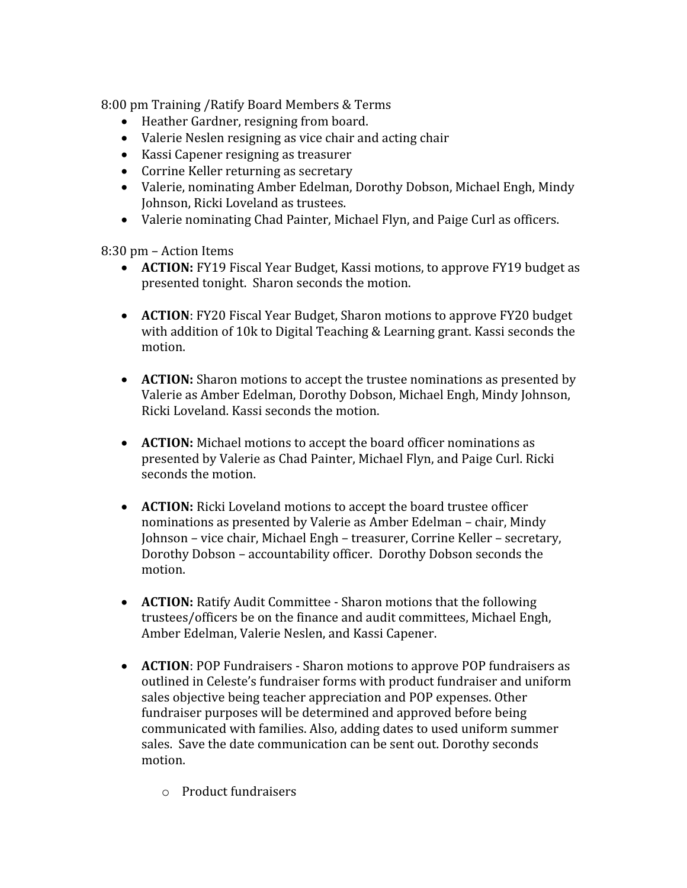8:00 pm Training /Ratify Board Members & Terms

- Heather Gardner, resigning from board.
- Valerie Neslen resigning as vice chair and acting chair
- Kassi Capener resigning as treasurer
- Corrine Keller returning as secretary
- Valerie, nominating Amber Edelman, Dorothy Dobson, Michael Engh, Mindy Johnson, Ricki Loveland as trustees.
- Valerie nominating Chad Painter, Michael Flyn, and Paige Curl as officers.

8:30 pm – Action Items

- **ACTION:** FY19 Fiscal Year Budget, Kassi motions, to approve FY19 budget as presented tonight. Sharon seconds the motion.
- **ACTION**: FY20 Fiscal Year Budget, Sharon motions to approve FY20 budget with addition of 10k to Digital Teaching & Learning grant. Kassi seconds the motion.
- **ACTION:** Sharon motions to accept the trustee nominations as presented by Valerie as Amber Edelman, Dorothy Dobson, Michael Engh, Mindy Johnson, Ricki Loveland. Kassi seconds the motion.
- **ACTION:** Michael motions to accept the board officer nominations as presented by Valerie as Chad Painter, Michael Flyn, and Paige Curl. Ricki seconds the motion.
- **ACTION:** Ricki Loveland motions to accept the board trustee officer nominations as presented by Valerie as Amber Edelman – chair, Mindy Johnson – vice chair, Michael Engh – treasurer, Corrine Keller – secretary, Dorothy Dobson – accountability officer. Dorothy Dobson seconds the motion.
- **ACTION:** Ratify Audit Committee Sharon motions that the following trustees/officers be on the finance and audit committees, Michael Engh, Amber Edelman, Valerie Neslen, and Kassi Capener.
- **ACTION**: POP Fundraisers Sharon motions to approve POP fundraisers as outlined in Celeste's fundraiser forms with product fundraiser and uniform sales objective being teacher appreciation and POP expenses. Other fundraiser purposes will be determined and approved before being communicated with families. Also, adding dates to used uniform summer sales. Save the date communication can be sent out. Dorothy seconds motion.
	- o Product fundraisers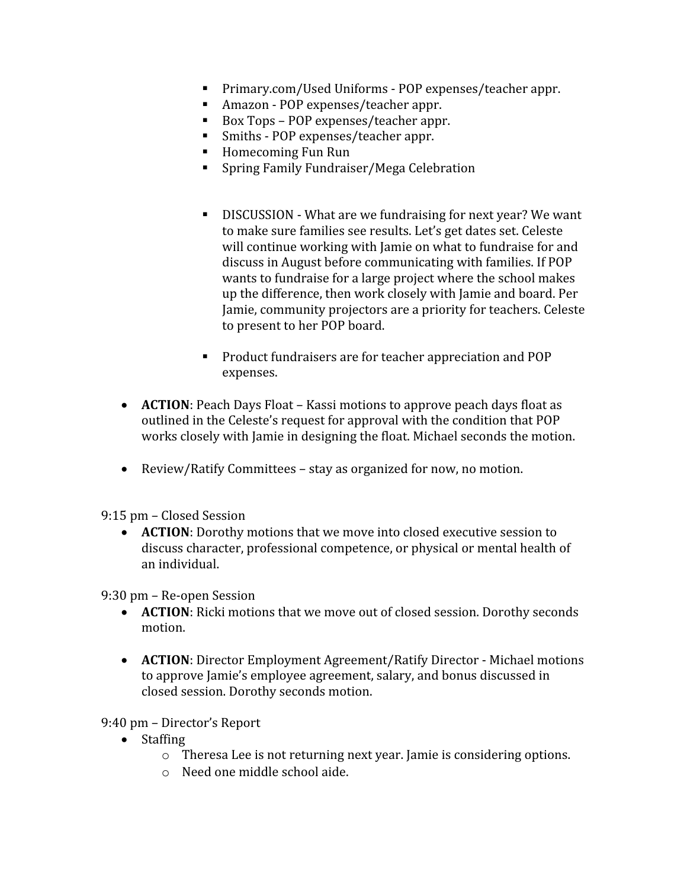- Primary.com/Used Uniforms POP expenses/teacher appr.
- Amazon POP expenses/teacher appr.
- Box Tops POP expenses/teacher appr.
- Smiths POP expenses/teacher appr.
- Homecoming Fun Run
- Spring Family Fundraiser/Mega Celebration
- DISCUSSION What are we fundraising for next year? We want to make sure families see results. Let's get dates set. Celeste will continue working with Jamie on what to fundraise for and discuss in August before communicating with families. If POP wants to fundraise for a large project where the school makes up the difference, then work closely with Jamie and board. Per Jamie, community projectors are a priority for teachers. Celeste to present to her POP board.
- **Product fundraisers are for teacher appreciation and POP** expenses.
- **ACTION**: Peach Days Float Kassi motions to approve peach days float as outlined in the Celeste's request for approval with the condition that POP works closely with Jamie in designing the float. Michael seconds the motion.
- Review/Ratify Committees stay as organized for now, no motion.

9:15 pm – Closed Session

 **ACTION**: Dorothy motions that we move into closed executive session to discuss character, professional competence, or physical or mental health of an individual.

9:30 pm – Re-open Session

- **ACTION**: Ricki motions that we move out of closed session. Dorothy seconds motion.
- **ACTION**: Director Employment Agreement/Ratify Director Michael motions to approve Jamie's employee agreement, salary, and bonus discussed in closed session. Dorothy seconds motion.

9:40 pm – Director's Report

- Staffing
	- o Theresa Lee is not returning next year. Jamie is considering options.
	- o Need one middle school aide.